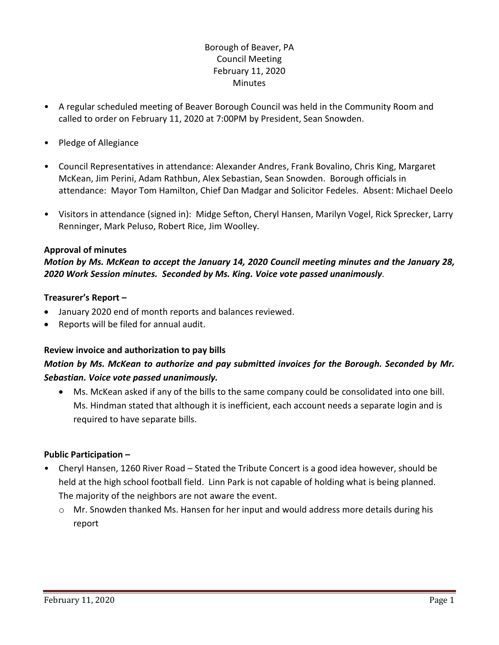# Borough of Beaver, PA Council Meeting February 11, 2020 Minutes

- A regular scheduled meeting of Beaver Borough Council was held in the Community Room and called to order on February 11, 2020 at 7:00PM by President, Sean Snowden.
- Pledge of Allegiance
- Council Representatives in attendance: Alexander Andres, Frank Bovalino, Chris King, Margaret McKean, Jim Perini, Adam Rathbun, Alex Sebastian, Sean Snowden. Borough officials in attendance: Mayor Tom Hamilton, Chief Dan Madgar and Solicitor Fedeles. Absent: Michael Deelo
- Visitors in attendance (signed in): Midge Sefton, Cheryl Hansen, Marilyn Vogel, Rick Sprecker, Larry Renninger, Mark Peluso, Robert Rice, Jim Woolley.

#### **Approval of minutes**

## *Motion by Ms. McKean to accept the January 14, 2020 Council meeting minutes and the January 28, 2020 Work Session minutes. Seconded by Ms. King. Voice vote passed unanimously.*

#### **Treasurer's Report –**

- January 2020 end of month reports and balances reviewed.
- Reports will be filed for annual audit.

#### **Review invoice and authorization to pay bills**

# *Motion by Ms. McKean to authorize and pay submitted invoices for the Borough. Seconded by Mr. Sebastian. Voice vote passed unanimously.*

 Ms. McKean asked if any of the bills to the same company could be consolidated into one bill. Ms. Hindman stated that although it is inefficient, each account needs a separate login and is required to have separate bills.

#### **Public Participation –**

- Cheryl Hansen, 1260 River Road Stated the Tribute Concert is a good idea however, should be held at the high school football field. Linn Park is not capable of holding what is being planned. The majority of the neighbors are not aware the event.
	- o Mr. Snowden thanked Ms. Hansen for her input and would address more details during his report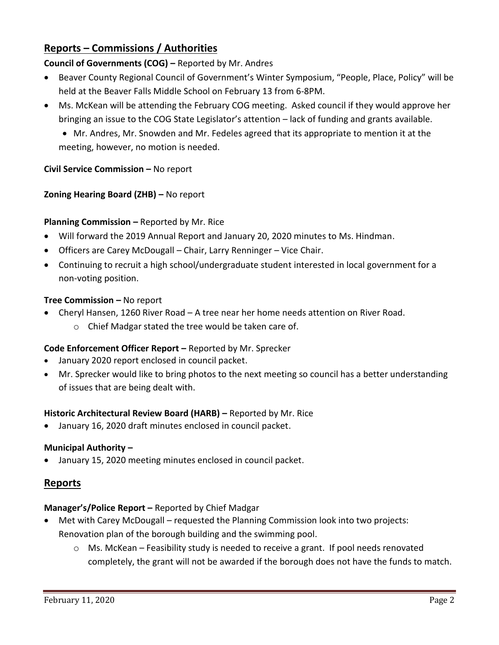# **Reports – Commissions / Authorities**

**Council of Governments (COG) –** Reported by Mr. Andres

- Beaver County Regional Council of Government's Winter Symposium, "People, Place, Policy" will be held at the Beaver Falls Middle School on February 13 from 6-8PM.
- Ms. McKean will be attending the February COG meeting. Asked council if they would approve her bringing an issue to the COG State Legislator's attention – lack of funding and grants available.
	- Mr. Andres, Mr. Snowden and Mr. Fedeles agreed that its appropriate to mention it at the meeting, however, no motion is needed.

## **Civil Service Commission –** No report

## **Zoning Hearing Board (ZHB) –** No report

## **Planning Commission –** Reported by Mr. Rice

- Will forward the 2019 Annual Report and January 20, 2020 minutes to Ms. Hindman.
- Officers are Carey McDougall Chair, Larry Renninger Vice Chair.
- Continuing to recruit a high school/undergraduate student interested in local government for a non-voting position.

## **Tree Commission –** No report

- Cheryl Hansen, 1260 River Road A tree near her home needs attention on River Road.
	- o Chief Madgar stated the tree would be taken care of.

# **Code Enforcement Officer Report –** Reported by Mr. Sprecker

- January 2020 report enclosed in council packet.
- Mr. Sprecker would like to bring photos to the next meeting so council has a better understanding of issues that are being dealt with.

## **Historic Architectural Review Board (HARB) –** Reported by Mr. Rice

January 16, 2020 draft minutes enclosed in council packet.

## **Municipal Authority –**

January 15, 2020 meeting minutes enclosed in council packet.

# **Reports**

## **Manager's/Police Report –** Reported by Chief Madgar

- Met with Carey McDougall requested the Planning Commission look into two projects: Renovation plan of the borough building and the swimming pool.
	- $\circ$  Ms. McKean Feasibility study is needed to receive a grant. If pool needs renovated completely, the grant will not be awarded if the borough does not have the funds to match.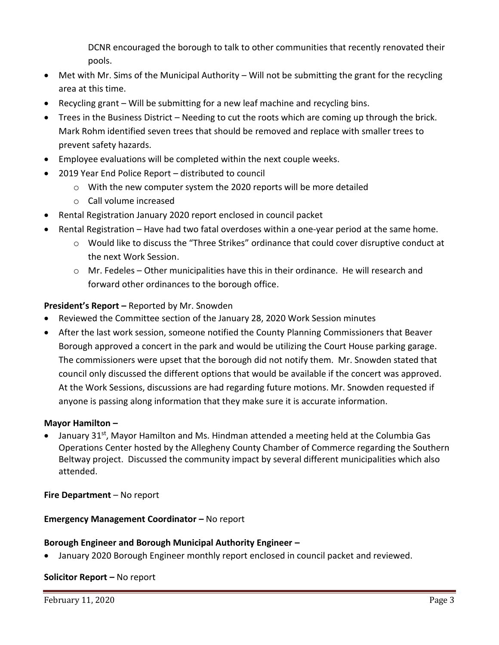DCNR encouraged the borough to talk to other communities that recently renovated their pools.

- Met with Mr. Sims of the Municipal Authority Will not be submitting the grant for the recycling area at this time.
- Recycling grant Will be submitting for a new leaf machine and recycling bins.
- Trees in the Business District Needing to cut the roots which are coming up through the brick. Mark Rohm identified seven trees that should be removed and replace with smaller trees to prevent safety hazards.
- Employee evaluations will be completed within the next couple weeks.
- 2019 Year End Police Report distributed to council
	- o With the new computer system the 2020 reports will be more detailed
	- o Call volume increased
- Rental Registration January 2020 report enclosed in council packet
- Rental Registration Have had two fatal overdoses within a one-year period at the same home.
	- o Would like to discuss the "Three Strikes" ordinance that could cover disruptive conduct at the next Work Session.
	- $\circ$  Mr. Fedeles Other municipalities have this in their ordinance. He will research and forward other ordinances to the borough office.

## **President's Report –** Reported by Mr. Snowden

- Reviewed the Committee section of the January 28, 2020 Work Session minutes
- After the last work session, someone notified the County Planning Commissioners that Beaver Borough approved a concert in the park and would be utilizing the Court House parking garage. The commissioners were upset that the borough did not notify them. Mr. Snowden stated that council only discussed the different options that would be available if the concert was approved. At the Work Sessions, discussions are had regarding future motions. Mr. Snowden requested if anyone is passing along information that they make sure it is accurate information.

## **Mayor Hamilton –**

January 31<sup>st</sup>, Mayor Hamilton and Ms. Hindman attended a meeting held at the Columbia Gas Operations Center hosted by the Allegheny County Chamber of Commerce regarding the Southern Beltway project. Discussed the community impact by several different municipalities which also attended.

**Fire Department** – No report

## **Emergency Management Coordinator - No report**

#### **Borough Engineer and Borough Municipal Authority Engineer –**

January 2020 Borough Engineer monthly report enclosed in council packet and reviewed.

#### **Solicitor Report –** No report